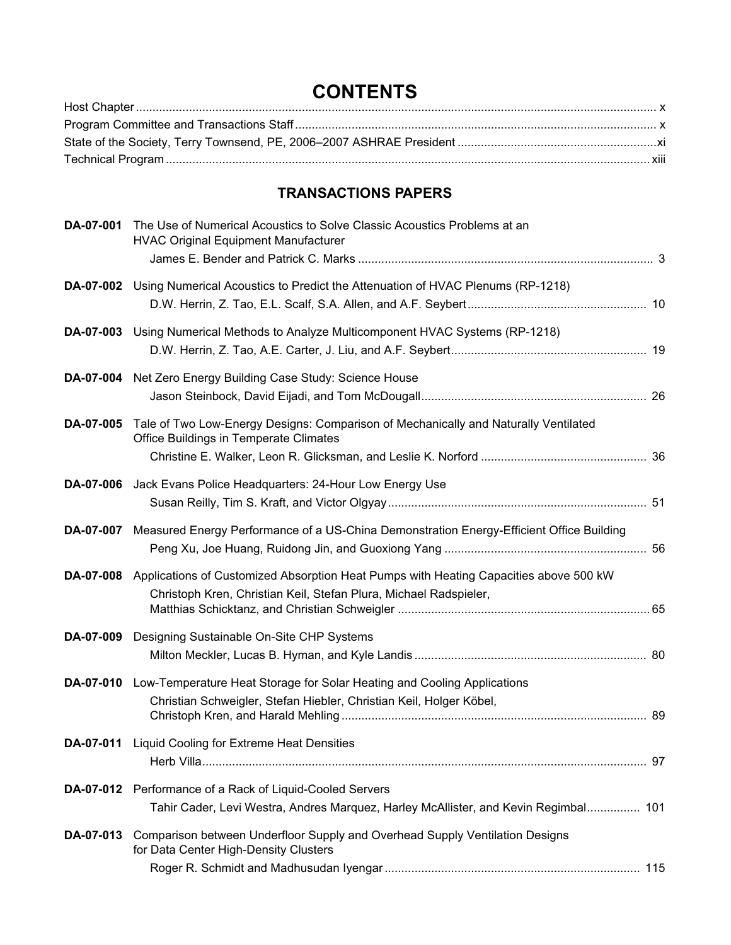## **CONTENTS**

## **TRANSACTIONS PAPERS**

| DA-07-001 | The Use of Numerical Acoustics to Solve Classic Acoustics Problems at an<br><b>HVAC Original Equipment Manufacturer</b>                                              |  |
|-----------|----------------------------------------------------------------------------------------------------------------------------------------------------------------------|--|
|           |                                                                                                                                                                      |  |
|           | DA-07-002 Using Numerical Acoustics to Predict the Attenuation of HVAC Plenums (RP-1218)                                                                             |  |
|           | DA-07-003 Using Numerical Methods to Analyze Multicomponent HVAC Systems (RP-1218)                                                                                   |  |
|           | DA-07-004 Net Zero Energy Building Case Study: Science House                                                                                                         |  |
|           | DA-07-005 Tale of Two Low-Energy Designs: Comparison of Mechanically and Naturally Ventilated<br>Office Buildings in Temperate Climates                              |  |
| DA-07-006 | Jack Evans Police Headquarters: 24-Hour Low Energy Use                                                                                                               |  |
|           | DA-07-007 Measured Energy Performance of a US-China Demonstration Energy-Efficient Office Building                                                                   |  |
|           | DA-07-008 Applications of Customized Absorption Heat Pumps with Heating Capacities above 500 kW<br>Christoph Kren, Christian Keil, Stefan Plura, Michael Radspieler, |  |
|           | DA-07-009 Designing Sustainable On-Site CHP Systems                                                                                                                  |  |
|           | DA-07-010 Low-Temperature Heat Storage for Solar Heating and Cooling Applications<br>Christian Schweigler, Stefan Hiebler, Christian Keil, Holger Köbel,             |  |
|           | DA-07-011 Liquid Cooling for Extreme Heat Densities                                                                                                                  |  |
|           | DA-07-012 Performance of a Rack of Liquid-Cooled Servers<br>Tahir Cader, Levi Westra, Andres Marquez, Harley McAllister, and Kevin Regimbal 101                      |  |
| DA-07-013 | Comparison between Underfloor Supply and Overhead Supply Ventilation Designs<br>for Data Center High-Density Clusters                                                |  |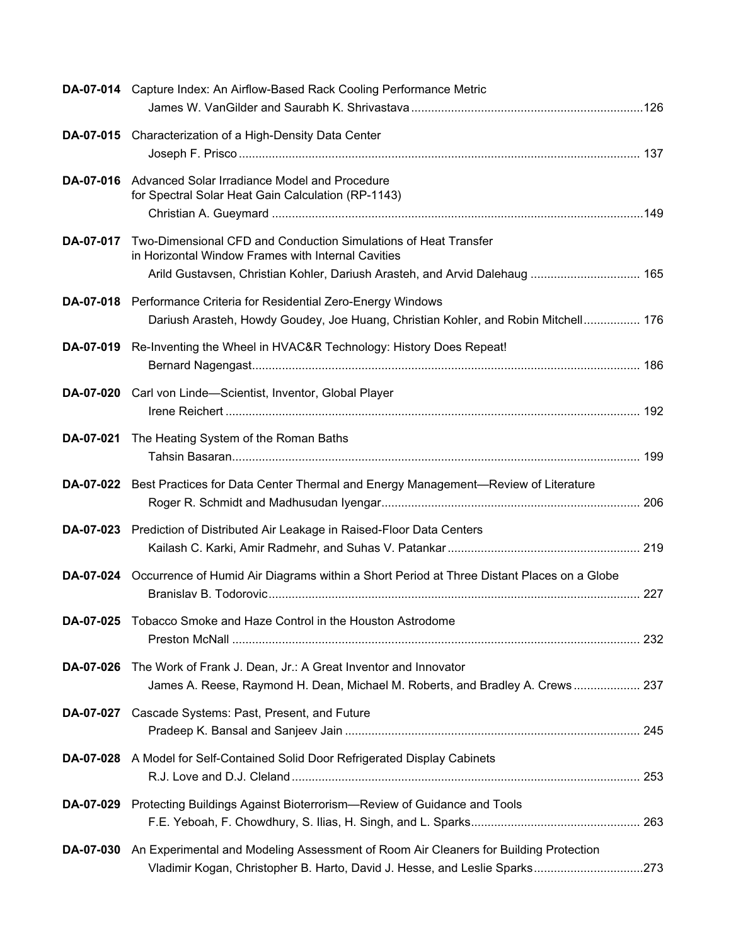|                  | DA-07-014 Capture Index: An Airflow-Based Rack Cooling Performance Metric                                                                                                                            |
|------------------|------------------------------------------------------------------------------------------------------------------------------------------------------------------------------------------------------|
|                  | DA-07-015 Characterization of a High-Density Data Center                                                                                                                                             |
|                  | DA-07-016 Advanced Solar Irradiance Model and Procedure<br>for Spectral Solar Heat Gain Calculation (RP-1143)                                                                                        |
| DA-07-017        | Two-Dimensional CFD and Conduction Simulations of Heat Transfer<br>in Horizontal Window Frames with Internal Cavities<br>Arild Gustavsen, Christian Kohler, Dariush Arasteh, and Arvid Dalehaug  165 |
|                  | DA-07-018 Performance Criteria for Residential Zero-Energy Windows<br>Dariush Arasteh, Howdy Goudey, Joe Huang, Christian Kohler, and Robin Mitchell 176                                             |
| DA-07-019        | Re-Inventing the Wheel in HVAC&R Technology: History Does Repeat!                                                                                                                                    |
| DA-07-020        | Carl von Linde-Scientist, Inventor, Global Player                                                                                                                                                    |
|                  | DA-07-021 The Heating System of the Roman Baths                                                                                                                                                      |
|                  | DA-07-022 Best Practices for Data Center Thermal and Energy Management-Review of Literature                                                                                                          |
|                  | DA-07-023 Prediction of Distributed Air Leakage in Raised-Floor Data Centers                                                                                                                         |
|                  | DA-07-024 Occurrence of Humid Air Diagrams within a Short Period at Three Distant Places on a Globe                                                                                                  |
|                  | DA-07-025 Tobacco Smoke and Haze Control in the Houston Astrodome                                                                                                                                    |
| <b>DA-07-026</b> | The Work of Frank J. Dean, Jr.: A Great Inventor and Innovator<br>James A. Reese, Raymond H. Dean, Michael M. Roberts, and Bradley A. Crews 237                                                      |
|                  | DA-07-027 Cascade Systems: Past, Present, and Future                                                                                                                                                 |
|                  | DA-07-028 A Model for Self-Contained Solid Door Refrigerated Display Cabinets                                                                                                                        |
| DA-07-029        | Protecting Buildings Against Bioterrorism-Review of Guidance and Tools                                                                                                                               |
|                  | DA-07-030 An Experimental and Modeling Assessment of Room Air Cleaners for Building Protection<br>Vladimir Kogan, Christopher B. Harto, David J. Hesse, and Leslie Sparks273                         |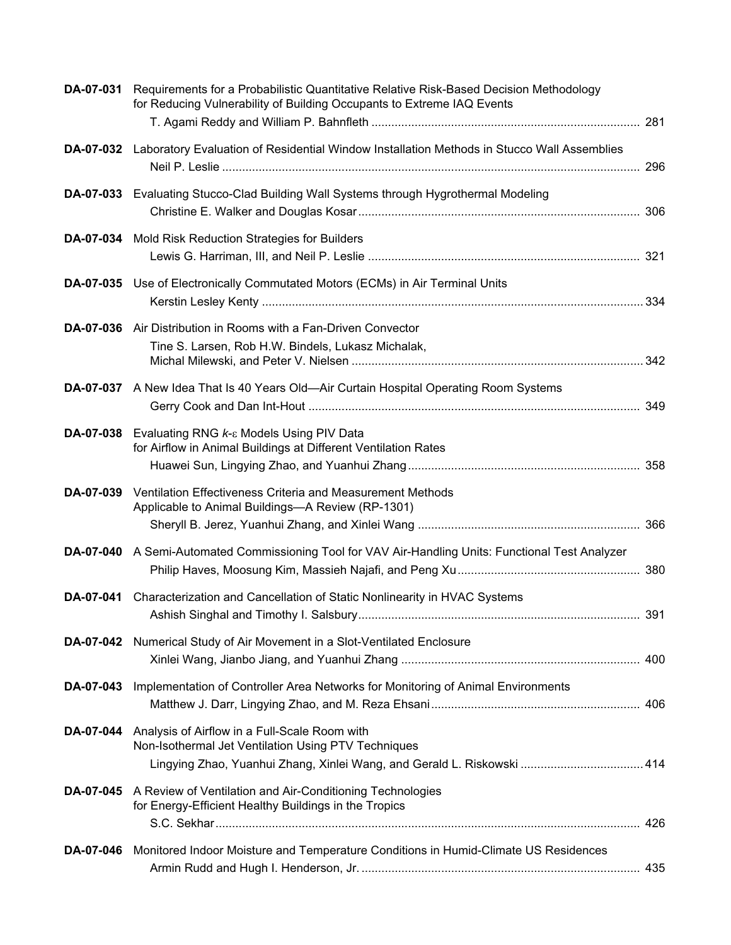| DA-07-031        | Requirements for a Probabilistic Quantitative Relative Risk-Based Decision Methodology<br>for Reducing Vulnerability of Building Occupants to Extreme IAQ Events                |     |
|------------------|---------------------------------------------------------------------------------------------------------------------------------------------------------------------------------|-----|
|                  | DA-07-032 Laboratory Evaluation of Residential Window Installation Methods in Stucco Wall Assemblies                                                                            |     |
|                  | DA-07-033 Evaluating Stucco-Clad Building Wall Systems through Hygrothermal Modeling                                                                                            |     |
|                  | DA-07-034 Mold Risk Reduction Strategies for Builders                                                                                                                           |     |
|                  | DA-07-035 Use of Electronically Commutated Motors (ECMs) in Air Terminal Units                                                                                                  |     |
| DA-07-036        | Air Distribution in Rooms with a Fan-Driven Convector<br>Tine S. Larsen, Rob H.W. Bindels, Lukasz Michalak,                                                                     |     |
| <b>DA-07-037</b> | A New Idea That Is 40 Years Old—Air Curtain Hospital Operating Room Systems                                                                                                     |     |
| DA-07-038        | Evaluating RNG k-ε Models Using PIV Data<br>for Airflow in Animal Buildings at Different Ventilation Rates                                                                      |     |
| DA-07-039        | Ventilation Effectiveness Criteria and Measurement Methods<br>Applicable to Animal Buildings-A Review (RP-1301)                                                                 |     |
|                  | DA-07-040 A Semi-Automated Commissioning Tool for VAV Air-Handling Units: Functional Test Analyzer                                                                              |     |
| DA-07-041        | Characterization and Cancellation of Static Nonlinearity in HVAC Systems                                                                                                        | 391 |
| DA-07-042        | Numerical Study of Air Movement in a Slot-Ventilated Enclosure                                                                                                                  |     |
| DA-07-043        | Implementation of Controller Area Networks for Monitoring of Animal Environments                                                                                                |     |
| DA-07-044        | Analysis of Airflow in a Full-Scale Room with<br>Non-Isothermal Jet Ventilation Using PTV Techniques<br>Lingying Zhao, Yuanhui Zhang, Xinlei Wang, and Gerald L. Riskowski  414 |     |
| DA-07-045        | A Review of Ventilation and Air-Conditioning Technologies<br>for Energy-Efficient Healthy Buildings in the Tropics                                                              |     |
| DA-07-046        | Monitored Indoor Moisture and Temperature Conditions in Humid-Climate US Residences                                                                                             |     |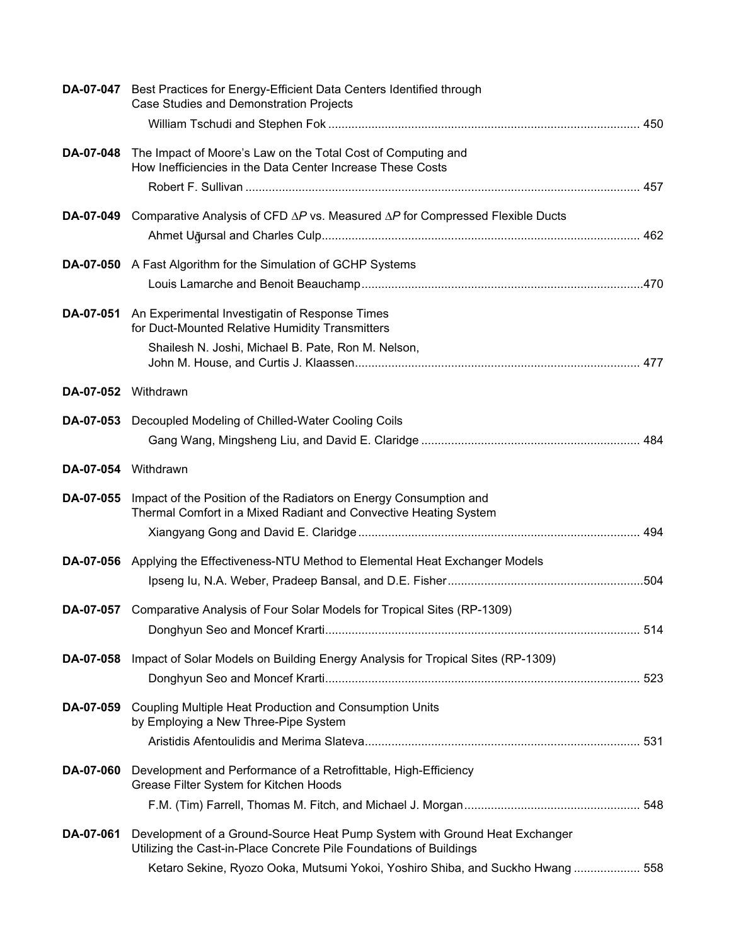|                     | DA-07-047 Best Practices for Energy-Efficient Data Centers Identified through<br>Case Studies and Demonstration Projects                         |  |
|---------------------|--------------------------------------------------------------------------------------------------------------------------------------------------|--|
|                     |                                                                                                                                                  |  |
| DA-07-048           | The Impact of Moore's Law on the Total Cost of Computing and<br>How Inefficiencies in the Data Center Increase These Costs                       |  |
|                     |                                                                                                                                                  |  |
|                     | <b>DA-07-049</b> Comparative Analysis of CFD $\Delta P$ vs. Measured $\Delta P$ for Compressed Flexible Ducts                                    |  |
|                     |                                                                                                                                                  |  |
|                     | DA-07-050 A Fast Algorithm for the Simulation of GCHP Systems                                                                                    |  |
|                     |                                                                                                                                                  |  |
| DA-07-051           | An Experimental Investigatin of Response Times<br>for Duct-Mounted Relative Humidity Transmitters                                                |  |
|                     | Shailesh N. Joshi, Michael B. Pate, Ron M. Nelson,                                                                                               |  |
| DA-07-052 Withdrawn |                                                                                                                                                  |  |
|                     | DA-07-053 Decoupled Modeling of Chilled-Water Cooling Coils                                                                                      |  |
|                     |                                                                                                                                                  |  |
| DA-07-054 Withdrawn |                                                                                                                                                  |  |
| DA-07-055           | Impact of the Position of the Radiators on Energy Consumption and<br>Thermal Comfort in a Mixed Radiant and Convective Heating System            |  |
|                     |                                                                                                                                                  |  |
|                     | <b>DA-07-056</b> Applying the Effectiveness-NTU Method to Elemental Heat Exchanger Models                                                        |  |
|                     |                                                                                                                                                  |  |
|                     | DA-07-057 Comparative Analysis of Four Solar Models for Tropical Sites (RP-1309)                                                                 |  |
|                     |                                                                                                                                                  |  |
| DA-07-058           | Impact of Solar Models on Building Energy Analysis for Tropical Sites (RP-1309)                                                                  |  |
|                     |                                                                                                                                                  |  |
| DA-07-059           | Coupling Multiple Heat Production and Consumption Units<br>by Employing a New Three-Pipe System                                                  |  |
|                     |                                                                                                                                                  |  |
| DA-07-060           | Development and Performance of a Retrofittable, High-Efficiency<br>Grease Filter System for Kitchen Hoods                                        |  |
|                     |                                                                                                                                                  |  |
| DA-07-061           | Development of a Ground-Source Heat Pump System with Ground Heat Exchanger<br>Utilizing the Cast-in-Place Concrete Pile Foundations of Buildings |  |
|                     | Ketaro Sekine, Ryozo Ooka, Mutsumi Yokoi, Yoshiro Shiba, and Suckho Hwang 558                                                                    |  |